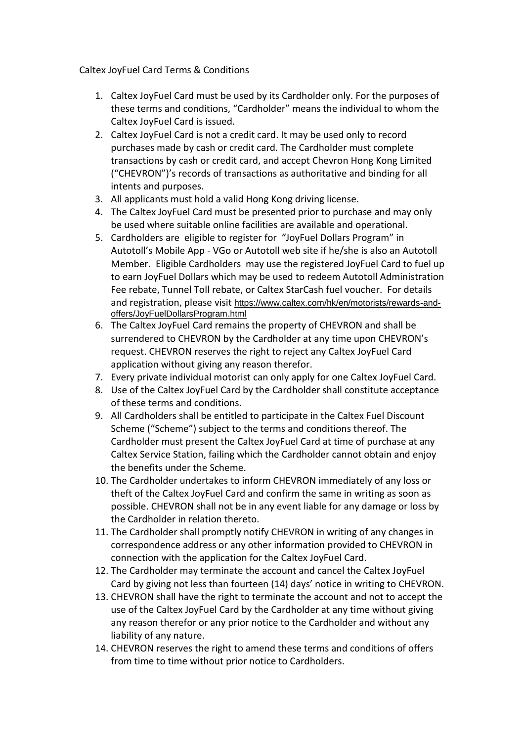Caltex JoyFuel Card Terms & Conditions

- 1. Caltex JoyFuel Card must be used by its Cardholder only. For the purposes of these terms and conditions, "Cardholder" means the individual to whom the Caltex JoyFuel Card is issued.
- 2. Caltex JoyFuel Card is not a credit card. It may be used only to record purchases made by cash or credit card. The Cardholder must complete transactions by cash or credit card, and accept Chevron Hong Kong Limited ("CHEVRON")'s records of transactions as authoritative and binding for all intents and purposes.
- 3. All applicants must hold a valid Hong Kong driving license.
- 4. The Caltex JoyFuel Card must be presented prior to purchase and may only be used where suitable online facilities are available and operational.
- 5. Cardholders are eligible to register for "JoyFuel Dollars Program" in Autotoll's Mobile App - VGo or Autotoll web site if he/she is also an Autotoll Member. Eligible Cardholders may use the registered JoyFuel Card to fuel up to earn JoyFuel Dollars which may be used to redeem Autotoll Administration Fee rebate, Tunnel Toll rebate, or Caltex StarCash fuel voucher. For details and registration, please visit [https://www.caltex.com/hk/en/motorists/rewards-and](https://www.caltex.com/hk/en/motorists/rewards-and-offers/JoyFuelDollarsProgram%20.html)[offers/JoyFuelDollarsProgram.html](https://www.caltex.com/hk/en/motorists/rewards-and-offers/JoyFuelDollarsProgram%20.html)
- 6. The Caltex JoyFuel Card remains the property of CHEVRON and shall be surrendered to CHEVRON by the Cardholder at any time upon CHEVRON's request. CHEVRON reserves the right to reject any Caltex JoyFuel Card application without giving any reason therefor.
- 7. Every private individual motorist can only apply for one Caltex JoyFuel Card.
- 8. Use of the Caltex JoyFuel Card by the Cardholder shall constitute acceptance of these terms and conditions.
- 9. All Cardholders shall be entitled to participate in the Caltex Fuel Discount Scheme ("Scheme") subject to the terms and conditions thereof. The Cardholder must present the Caltex JoyFuel Card at time of purchase at any Caltex Service Station, failing which the Cardholder cannot obtain and enjoy the benefits under the Scheme.
- 10. The Cardholder undertakes to inform CHEVRON immediately of any loss or theft of the Caltex JoyFuel Card and confirm the same in writing as soon as possible. CHEVRON shall not be in any event liable for any damage or loss by the Cardholder in relation thereto.
- 11. The Cardholder shall promptly notify CHEVRON in writing of any changes in correspondence address or any other information provided to CHEVRON in connection with the application for the Caltex JoyFuel Card.
- 12. The Cardholder may terminate the account and cancel the Caltex JoyFuel Card by giving not less than fourteen (14) days' notice in writing to CHEVRON.
- 13. CHEVRON shall have the right to terminate the account and not to accept the use of the Caltex JoyFuel Card by the Cardholder at any time without giving any reason therefor or any prior notice to the Cardholder and without any liability of any nature.
- 14. CHEVRON reserves the right to amend these terms and conditions of offers from time to time without prior notice to Cardholders.